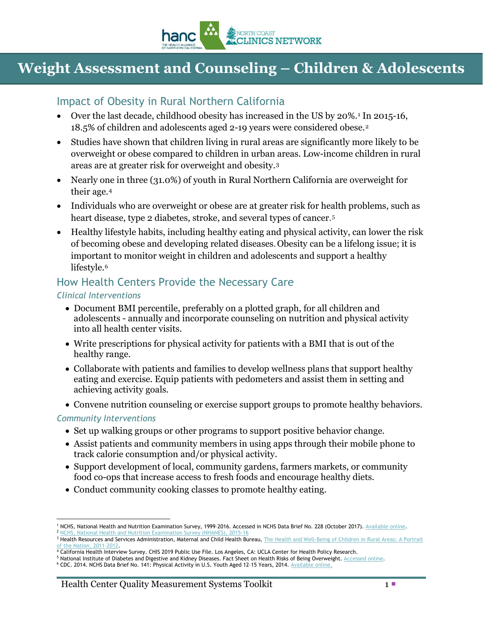

# **Weight Assessment and Counseling – Children & Adolescents**

### Impact of Obesity in Rural Northern California

- Over the last decade, childhood obesity has increased in the US by 20%.<sup>[1](#page-0-0)</sup> In 2015-16, 18.5% of children and adolescents aged 2-19 years were considered obese.[2](#page-0-1)
- Studies have shown that children living in rural areas are significantly more likely to be overweight or obese compared to children in urban areas. Low-income children in rural areas are at greater risk for overweight and obesity.[3](#page-0-2)
- Nearly one in three (31.0%) of youth in Rural Northern California are overweight for their age.[4](#page-0-3)
- Individuals who are overweight or obese are at greater risk for health problems, such as heart disease, type 2 diabetes, stroke, and several types of cancer.<sup>[5](#page-0-4)</sup>
- Healthy lifestyle habits, including healthy eating and physical activity, can lower the risk of becoming obese and developing related diseases.Obesity can be a lifelong issue; it is important to monitor weight in children and adolescents and support a healthy lifestyle.<sup>[6](#page-0-5)</sup>

# How Health Centers Provide the Necessary Care

#### *Clinical Interventions*

- Document BMI percentile, preferably on a plotted graph, for all children and adolescents - annually and incorporate counseling on nutrition and physical activity into all health center visits.
- Write prescriptions for physical activity for patients with a BMI that is out of the healthy range.
- Collaborate with patients and families to develop wellness plans that support healthy eating and exercise. Equip patients with pedometers and assist them in setting and achieving activity goals.
- Convene nutrition counseling or exercise support groups to promote healthy behaviors.

#### *Community Interventions*

- Set up walking groups or other programs to support positive behavior change.
- Assist patients and community members in using apps through their mobile phone to track calorie consumption and/or physical activity.
- Support development of local, community gardens, farmers markets, or community food co-ops that increase access to fresh foods and encourage healthy diets.
- Conduct community cooking classes to promote healthy eating.

<span id="page-0-0"></span> $\overline{a}$ 1 NCHS, National Health and Nutrition Examination Survey, 1999-2016. Accessed in NCHS Data Brief No. 228 (October 2017). [Available online.](https://www.cdc.gov/nchs/data/databriefs/db288.pdf) <sup>2</sup> [NCHS, National Health and Nutrition Examination Survey \(NHANES\), 2015-16](https://www.cdc.gov/nchs/data/databriefs/db288.pdf)

<span id="page-0-2"></span><span id="page-0-1"></span><sup>&</sup>lt;sup>3</sup> Health Resources and Services Administration, Maternal and Child Health Bureau, [The Health and Well-Being of Children in Rural Areas: A Portrait](https://mchb.hrsa.gov/nsch/2011-12/rural-health/child/health-status/overweight-obesity.html) of the Nation, 2011-2012.

<span id="page-0-3"></span> $4$  California Health Interview Survey. CHIS 2019 Public Use File. Los Angeles, CA: UCLA Center for Health Policy Research.

<span id="page-0-5"></span><span id="page-0-4"></span><sup>5</sup> National Institute of Diabetes and Digestive and Kidney Diseases. Fact Sheet on Health Risks of Being Overweight[. Accessed](https://www.niddk.nih.gov/health-information/weight-management/health-risks-overweight) online.

<sup>&</sup>lt;sup>6</sup> CDC. 2014. NCHS Data Brief No. 141: Physical Activity in U.S. Youth Aged 12-15 Years, 2014. [Available online.](https://www.cdc.gov/nchs/products/databriefs/db141.htm)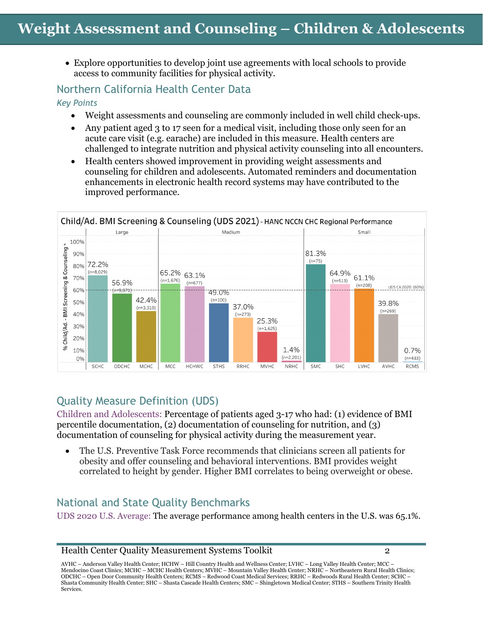• Explore opportunities to develop joint use agreements with local schools to provide access to community facilities for physical activity.

# Northern California Health Center Data

*Key Points*

- Weight assessments and counseling are commonly included in well child check-ups.
- Any patient aged 3 to 17 seen for a medical visit, including those only seen for an acute care visit (e.g. earache) are included in this measure. Health centers are challenged to integrate nutrition and physical activity counseling into all encounters.
- Health centers showed improvement in providing weight assessments and counseling for children and adolescents. Automated reminders and documentation enhancements in electronic health record systems may have contributed to the improved performance.



# Quality Measure Definition (UDS)

Children and Adolescents: Percentage of patients aged 3-17 who had: (1) evidence of BMI percentile documentation, (2) documentation of counseling for nutrition, and (3) documentation of counseling for physical activity during the measurement year.

• The U.S. Preventive Task Force recommends that clinicians screen all patients for obesity and offer counseling and behavioral interventions. BMI provides weight correlated to height by gender. Higher BMI correlates to being overweight or obese.

# National and State Quality Benchmarks

UDS 2020 U.S. Average: The average performance among health centers in the U.S. was 65.1%.

AVHC – Anderson Valley Health Center; HCHW – Hill Country Health and Wellness Center; LVHC – Long Valley Health Center; MCC – Mendocino Coast Clinics; MCHC – MCHC Health Centers; MVHC – Mountain Valley Health Center; NRHC – Northeastern Rural Health Clinics; ODCHC – Open Door Community Health Centers; RCMS – Redwood Coast Medical Services; RRHC – Redwoods Rural Health Center; SCHC – Shasta Community Health Center; SHC – Shasta Cascade Health Centers; SMC – Shingletown Medical Center; STHS – Southern Trinity Health Services.

Health Center Quality Measurement Systems Toolkit 2